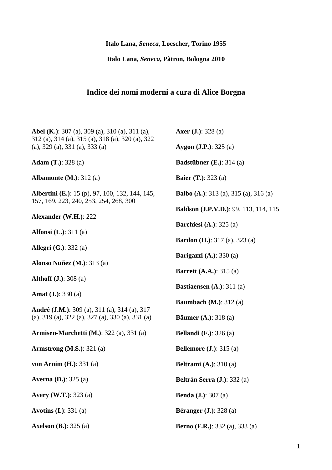## **Italo Lana,** *Seneca***, Loescher, Torino 1955**

**Italo Lana,** *Seneca***, Pàtron, Bologna 2010** 

## **Indice dei nomi moderni a cura di Alice Borgna**

| <b>Abel (K.)</b> : 307 (a), 309 (a), 310 (a), 311 (a),<br>312 (a), 314 (a), 315 (a), 318 (a), 320 (a), 322 | <b>Axer</b> ( <b>J.</b> ): 328 (a)                    |
|------------------------------------------------------------------------------------------------------------|-------------------------------------------------------|
| (a), $329$ (a), $331$ (a), $333$ (a)                                                                       | <b>Aygon (J.P.)</b> : $325$ (a)                       |
| <b>Adam (T.):</b> 328 (a)                                                                                  | <b>Badstübner</b> $(E.)$ : 314 (a)                    |
| Albamonte $(M.)$ : 312 $(a)$                                                                               | <b>Baier</b> (T.): 323 (a)                            |
| <b>Albertini (E.)</b> : 15 (p), 97, 100, 132, 144, 145,<br>157, 169, 223, 240, 253, 254, 268, 300          | <b>Balbo</b> ( <b>A.</b> ): 313 (a), 315 (a), 316 (a) |
| <b>Alexander (W.H.): 222</b>                                                                               | <b>Baldson (J.P.V.D.)</b> : 99, 113, 114, 115         |
| <b>Alfonsi</b> ( <b>L.</b> ): $311$ (a)                                                                    | <b>Barchiesi</b> (A.): $325$ (a)                      |
|                                                                                                            | <b>Bardon (H.)</b> : 317 (a), 323 (a)                 |
| <b>Allegri</b> ( <b>G.</b> ): 332 (a)                                                                      | <b>Barigazzi</b> (A.): $330$ (a)                      |
| Alonso Nuñez (M.): $313$ (a)                                                                               | <b>Barrett</b> (A.A.): 315 (a)                        |
| <b>Althoff (J.):</b> 308 (a)                                                                               | <b>Bastiaensen</b> $(A.)$ : 311 $(a)$                 |
| <b>Amat</b> ( <b>J.</b> ): 330 (a)                                                                         | <b>Baumbach</b> ( <b>M.</b> ): $312$ (a)              |
| <b>André (J.M.)</b> : 309 (a), 311 (a), 314 (a), 317<br>(a), 319 (a), 322 (a), 327 (a), 330 (a), 331 (a)   | <b>Bäumer</b> ( <b>A.</b> ): 318 (a)                  |
| <b>Armisen-Marchetti (M.)</b> : 322 (a), 331 (a)                                                           | <b>Bellandi</b> (F.): $326$ (a)                       |
| Armstrong $(M.S.)$ : 321 (a)                                                                               | <b>Bellemore</b> $(J.): 315$ (a)                      |
| <b>von Arnim (H.)</b> : 331 (a)                                                                            | <b>Beltrami</b> (A.): $310$ (a)                       |
| <b>Averna (D.):</b> 325 (a)                                                                                | Beltrán Serra (J.): 332 (a)                           |
| <b>Avery (W.T.):</b> 323 (a)                                                                               | <b>Benda (J.):</b> 307 (a)                            |
| Avotins $(I.)$ : 331 (a)                                                                                   | Béranger $(\mathbf{J.})$ : 328 (a)                    |
| <b>Axelson</b> ( <b>B.</b> ): 325 (a)                                                                      | <b>Berno</b> ( <b>F.R.</b> ): 332 (a), 333 (a)        |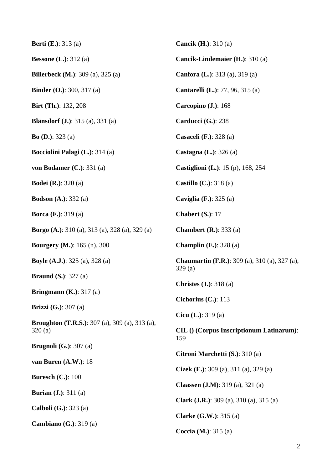| <b>Berti</b> ( <b>E.</b> ): 313 (a)                              | <b>Cancik (H.):</b> $310$ (a)                                   |
|------------------------------------------------------------------|-----------------------------------------------------------------|
| <b>Bessone</b> ( <b>L.</b> ): 312 (a)                            | Cancik-Lindemaier (H.): 310 (a)                                 |
| <b>Billerbeck</b> ( <b>M.</b> ): 309 (a), 325 (a)                | <b>Canfora (L.)</b> : 313 (a), 319 (a)                          |
| <b>Binder (O.):</b> 300, 317 (a)                                 | <b>Cantarelli (L.)</b> : 77, 96, 315 (a)                        |
| <b>Birt (Th.): 132, 208</b>                                      | Carcopino (J.): 168                                             |
| <b>Blänsdorf</b> ( <b>J.</b> ): $315$ (a), $331$ (a)             | Carducci (G.): 238                                              |
| <b>Bo</b> ( <b>D.</b> ): 323 (a)                                 | <b>Casaceli</b> $(F.)$ : 328 (a)                                |
| Bocciolini Palagi (L.): 314 (a)                                  | Castagna $(L.)$ : 326 (a)                                       |
| von Bodamer $(C.)$ : 331 (a)                                     | <b>Castiglioni</b> (L.): 15 (p), 168, 254                       |
| <b>Bodei</b> ( <b>R.</b> ): 320 (a)                              | Castillo $(C.)$ : 318 (a)                                       |
| <b>Bodson</b> (A.): 332 (a)                                      | Caviglia $(F.)$ : 325 (a)                                       |
| <b>Borca</b> ( <b>F.</b> ): 319 (a)                              | Chabert $(S.)$ : 17                                             |
| <b>Borgo</b> (A.): 310 (a), 313 (a), 328 (a), 329 (a)            | <b>Chambert</b> $(R.)$ : 333 (a)                                |
| <b>Bourgery (M.):</b> 165 (n), 300                               | <b>Champlin</b> $(E.)$ : 328 (a)                                |
| <b>Boyle (A.J.)</b> : 325 (a), 328 (a)                           | <b>Chaumartin (F.R.)</b> : 309 (a), 310 (a), 327 (a),<br>329(a) |
| <b>Braund (S.):</b> 327 (a)                                      | <b>Christes (J.):</b> 318 (a)                                   |
| <b>Bringmann</b> $(K.)$ : 317 (a)                                | Cichorius $(C.)$ : 113                                          |
| <b>Brizzi</b> $(G.): 307(a)$                                     | Cicu $(L.)$ : 319 (a)                                           |
| <b>Broughton (T.R.S.)</b> : 307 (a), 309 (a), 313 (a),<br>320(a) | <b>CIL</b> () (Corpus Inscriptionum Latinarum):<br>159          |
| <b>Brugnoli</b> $(G.)$ : 307 $(a)$                               | Citroni Marchetti (S.): 310 (a)                                 |
| van Buren (A.W.): 18                                             | Cizek (E.): 309 (a), 311 (a), 329 (a)                           |
| Buresch $(C.)$ : 100                                             | <b>Claassen</b> ( <b>J.M</b> ): 319 (a), 321 (a)                |
| <b>Burian</b> ( <b>J.</b> ): $311$ (a)                           | <b>Clark (J.R.)</b> : 309 (a), 310 (a), 315 (a)                 |
| Calboli $(G.)$ : 323 (a)                                         | <b>Clarke (G.W.):</b> 315 (a)                                   |
| Cambiano $(G.)$ : 319 (a)                                        | <b>Coccia</b> ( <b>M.</b> ): 315 (a)                            |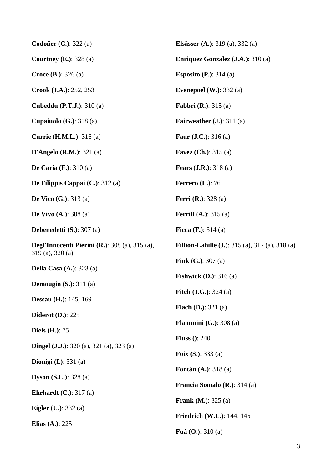| Codoñer $(C.)$ : 322 (a)                                               | <b>Elsässer</b> (A.): 319 (a), 332 (a)                 |
|------------------------------------------------------------------------|--------------------------------------------------------|
| Courtney $(E.)$ : 328 (a)                                              | <b>Enriquez Gonzalez (J.A.): 310 (a)</b>               |
| <b>Croce (B.):</b> 326 (a)                                             | <b>Esposito (P.):</b> 314 (a)                          |
| Crook (J.A.): 252, 253                                                 | Evenepoel $(W.): 332(a)$                               |
| <b>Cubeddu (P.T.J.)</b> : 310 (a)                                      | <b>Fabbri (R.):</b> 315 (a)                            |
| Cupaiuolo $(G.)$ : 318 (a)                                             | <b>Fairweather (J.):</b> 311 (a)                       |
| <b>Currie (H.M.L.)</b> : 316 (a)                                       | <b>Faur</b> ( <b>J.C.</b> ): 316 (a)                   |
| <b>D'Angelo</b> ( <b>R.M.</b> ): 321 (a)                               | <b>Favez</b> (Ch.): $315$ (a)                          |
| <b>De Caria</b> ( <b>F.</b> ): $310$ (a)                               | <b>Fears (J.R.):</b> 318 (a)                           |
| De Filippis Cappai $(C_*)$ : 312 (a)                                   | Ferrero $(L.)$ : 76                                    |
| <b>De Vico (G.):</b> 313 (a)                                           | <b>Ferri</b> ( <b>R.</b> ): 328 (a)                    |
| <b>De Vivo</b> $(A.)$ : 308 $(a)$                                      | <b>Ferrill</b> ( <b>A.</b> ): 315 (a)                  |
| Debenedetti $(S.)$ : 307 (a)                                           | <b>Ficca</b> ( <b>F.</b> ): 314 (a)                    |
| Degl'Innocenti Pierini (R.): $308$ (a), $315$ (a),<br>319 (a), 320 (a) | <b>Fillion-Lahille (J.):</b> 315 (a), 317 (a), 318 (a) |
| <b>Della Casa</b> $(A.)$ : 323 $(a)$                                   | <b>Fink</b> $(G.): 307(a)$                             |
|                                                                        | Fishwick $(D.)$ : 316 (a)                              |
| <b>Demougin</b> $(S.)$ : 311 (a)                                       | <b>Fitch (J.G.):</b> 324 (a)                           |
| <b>Dessau (H.)</b> : 145, 169                                          | <b>Flach (D.):</b> 321 (a)                             |
| <b>Diderot</b> ( <b>D</b> .): 225                                      | <b>Flammini</b> $(G.)$ : 308 (a)                       |
| Diels $(H.): 75$                                                       | <b>Fluss</b> $()$ : 240                                |
| <b>Dingel (J.J.)</b> : 320 (a), 321 (a), 323 (a)                       | <b>Foix (S.):</b> 333 (a)                              |
| Dionigi $(I.)$ : 331 (a)                                               | <b>Fontán</b> $(A.)$ : 318 $(a)$                       |
| <b>Dyson (S.L.): 328 (a)</b>                                           | <b>Francia Somalo (R.):</b> 314 (a)                    |
| Ehrhardt $(C.)$ : 317 $(a)$                                            | <b>Frank</b> ( <b>M.</b> ): 325 (a)                    |
| <b>Eigler</b> (U.): $332$ (a)                                          |                                                        |
| Elias $(A.)$ : 225                                                     | <b>Friedrich (W.L.)</b> : 144, 145                     |
|                                                                        | <b>Fuà</b> $(O.): 310(a)$                              |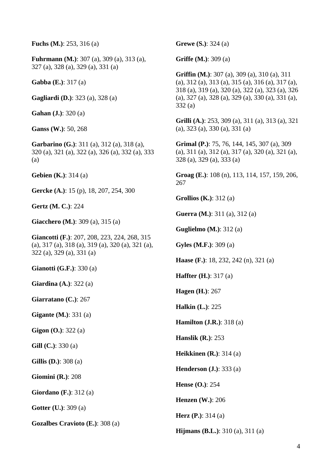**Fuchs (M.)**: 253, 316 (a)

**Fuhrmann (M.)**: 307 (a), 309 (a), 313 (a), 327 (a), 328 (a), 329 (a), 331 (a)

**Gabba (E.)**: 317 (a)

**Gagliardi (D.)**: 323 (a), 328 (a)

**Gahan (J.)**: 320 (a)

**Ganss (W.)**: 50, 268

**Garbarino (G.)**: 311 (a), 312 (a), 318 (a), 320 (a), 321 (a), 322 (a), 326 (a), 332 (a), 333 (a)

**Gebien (K.)**: 314 (a)

**Gercke (A.)**: 15 (p), 18, 207, 254, 300

**Gertz (M. C.)**: 224

**Giacchero (M.)**: 309 (a), 315 (a)

**Giancotti (F.)**: 207, 208, 223, 224, 268, 315 (a), 317 (a), 318 (a), 319 (a), 320 (a), 321 (a), 322 (a), 329 (a), 331 (a)

**Gianotti (G.F.)**: 330 (a)

**Giardina (A.)**: 322 (a)

**Giarratano (C.)**: 267

**Gigante (M.)**: 331 (a)

**Gigon (O.)**: 322 (a)

**Gill (C.)**: 330 (a)

**Gillis (D.)**: 308 (a)

**Giomini (R.)**: 208

**Giordano (F.)**: 312 (a)

**Gotter (U.)**: 309 (a)

**Gozalbes Cravioto (E.)**: 308 (a)

**Grewe (S.)**: 324 (a)

**Griffe (M.)**: 309 (a)

**Griffin (M.)**: 307 (a), 309 (a), 310 (a), 311 (a), 312 (a), 313 (a), 315 (a), 316 (a), 317 (a), 318 (a), 319 (a), 320 (a), 322 (a), 323 (a), 326 (a), 327 (a), 328 (a), 329 (a), 330 (a), 331 (a), 332 (a)

**Grilli (A.)**: 253, 309 (a), 311 (a), 313 (a), 321 (a), 323 (a), 330 (a), 331 (a)

**Grimal (P.)**: 75, 76, 144, 145, 307 (a), 309 (a), 311 (a), 312 (a), 317 (a), 320 (a), 321 (a), 328 (a), 329 (a), 333 (a)

**Groag (E.)**: 108 (n), 113, 114, 157, 159, 206, 267

**Grollios (K.)**: 312 (a)

**Guerra (M.)**: 311 (a), 312 (a)

**Guglielmo (M.)**: 312 (a)

**Gyles (M.F.)**: 309 (a)

**Haase (F.)**: 18, 232, 242 (n), 321 (a)

**Haffter (H.)**: 317 (a)

**Hagen (H.)**: 267

**Halkin (L.)**: 225

**Hamilton (J.R.)**: 318 (a)

**Hanslik (R.)**: 253

**Heikkinen (R.)**: 314 (a)

**Henderson (J.)**: 333 (a)

**Hense (O.)**: 254

**Henzen (W.)**: 206

**Herz (P.)**: 314 (a)

**Hijmans (B.L.)**: 310 (a), 311 (a)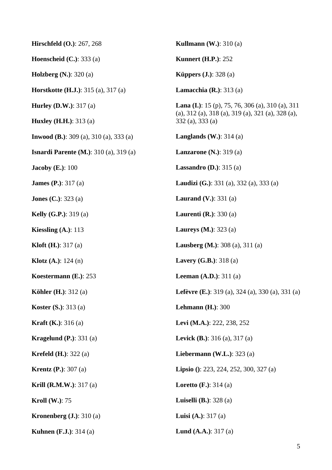| Hirschfeld (O.): 267, 268                          | Kullmann (W.): $310(a)$                                                             |
|----------------------------------------------------|-------------------------------------------------------------------------------------|
| <b>Hoenscheid</b> $(C.)$ : 333 (a)                 | <b>Kunnert (H.P.): 252</b>                                                          |
| <b>Holzberg</b> $(N.)$ : 320 $(a)$                 | <b>Küppers</b> $(J.): 328$ (a)                                                      |
| <b>Horstkotte (H.J.)</b> : 315 (a), 317 (a)        | <b>Lamacchia</b> $(R.)$ : 313 (a)                                                   |
| <b>Hurley (D.W.)</b> : $317$ (a)                   | <b>Lana (I.)</b> : 15 (p), 75, 76, 306 (a), 310 (a), 311                            |
| <b>Huxley</b> ( <b>H.H.</b> ): 313 (a)             | (a), $312$ (a), $318$ (a), $319$ (a), $321$ (a), $328$ (a),<br>$332$ (a), $333$ (a) |
| <b>Inwood (B.):</b> 309 (a), 310 (a), 333 (a)      | <b>Langlands</b> (W.): $314$ (a)                                                    |
| <b>Isnardi Parente (M.)</b> : $310$ (a), $319$ (a) | <b>Lanzarone</b> (N.): $319$ (a)                                                    |
| <b>Jacoby (E.):</b> $100$                          | <b>Lassandro</b> $(D.)$ : 315 (a)                                                   |
| <b>James (P.)</b> : $317$ (a)                      | <b>Laudizi</b> (G.): 331 (a), 332 (a), 333 (a)                                      |
| <b>Jones (C.):</b> 323 (a)                         | <b>Laurand</b> (V.): $331$ (a)                                                      |
| <b>Kelly</b> ( <b>G.P.</b> ): 319 (a)              | <b>Laurenti</b> ( $\mathbf{R}$ .): 330 (a)                                          |
| Kiessling $(A.)$ : 113                             | <b>Laureys</b> ( <b>M.</b> ): 323 (a)                                               |
| <b>Kloft (H.)</b> : $317$ (a)                      | <b>Lausberg (M.):</b> 308 (a), 311 (a)                                              |
| <b>Klotz</b> (A.): $124$ (n)                       | <b>Lavery</b> ( <b>G.B.</b> ): 318 (a)                                              |
| Koestermann (E.): 253                              | <b>Leeman</b> $(A.D.): 311(a)$                                                      |
| <b>Köhler (H.):</b> 312 (a)                        | <b>Lefèvre (E.)</b> : 319 (a), 324 (a), 330 (a), 331 (a)                            |
| <b>Koster</b> $(S.): 313$ (a)                      | Lehmann $(H.): 300$                                                                 |
| <b>Kraft</b> ( <b>K.</b> ): 316 (a)                | Levi (M.A.): 222, 238, 252                                                          |
| <b>Kragelund</b> $(Pn)$ : 331 (a)                  | <b>Levick (B.)</b> : $316$ (a), $317$ (a)                                           |
| <b>Krefeld</b> $(H.): 322$ (a)                     | Liebermann (W.L.): 323 (a)                                                          |
| <b>Krentz</b> (P.): 307 (a)                        | <b>Lipsio</b> (): 223, 224, 252, 300, 327 (a)                                       |
| <b>Krill (R.M.W.)</b> : 317 (a)                    | <b>Loretto</b> $(F.)$ : 314 (a)                                                     |
| Kroll $(W.): 75$                                   | <b>Luiselli</b> ( <b>B.</b> ): $328$ (a)                                            |
| <b>Kronenberg</b> $(J.): 310$ (a)                  | <b>Luisi</b> (A.): $317$ (a)                                                        |
| <b>Kuhnen</b> ( <b>F.J.</b> ): 314 (a)             | <b>Lund</b> (A.A.): 317 (a)                                                         |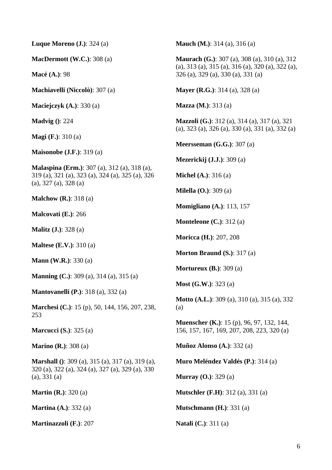**Luque Moreno (J.)**: 324 (a)

**MacDermott (W.C.)**: 308 (a)

**Macé (A.)**: 98

**Machiavelli (Niccolò)**: 307 (a)

**Maciejczyk (A.)**: 330 (a)

**Madvig ()**: 224

**Magi (F.)**: 310 (a)

**Maisonobe (J.F.)**: 319 (a)

**Malaspina (Erm.)**: 307 (a), 312 (a), 318 (a), 319 (a), 321 (a), 323 (a), 324 (a), 325 (a), 326 (a), 327 (a), 328 (a)

**Malchow (R.)**: 318 (a)

**Malcovati (E.)**: 266

**Malitz (J.)**: 328 (a)

**Maltese (E.V.)**: 310 (a)

**Mann (W.R.)**: 330 (a)

**Manning (C.)**: 309 (a), 314 (a), 315 (a)

**Mantovanelli (P.)**: 318 (a), 332 (a)

**Marchesi (C.)**: 15 (p), 50, 144, 156, 207, 238, 253

**Marcucci (S.)**: 325 (a)

**Marino (R.)**: 308 (a)

**Marshall ()**: 309 (a), 315 (a), 317 (a), 319 (a), 320 (a), 322 (a), 324 (a), 327 (a), 329 (a), 330 (a), 331 (a)

**Martin (R.)**: 320 (a)

**Martina (A.)**: 332 (a)

**Martinazzoli (F.)**: 207

**Mauch (M.)**: 314 (a), 316 (a)

**Maurach (G.)**: 307 (a), 308 (a), 310 (a), 312 (a), 313 (a), 315 (a), 316 (a), 320 (a), 322 (a), 326 (a), 329 (a), 330 (a), 331 (a)

**Mayer (R.G.)**: 314 (a), 328 (a)

**Mazza (M.)**: 313 (a)

**Mazzoli (G.)**: 312 (a), 314 (a), 317 (a), 321 (a), 323 (a), 326 (a), 330 (a), 331 (a), 332 (a)

**Meersseman (G.G.)**: 307 (a)

**Mezerickij (J.J.)**: 309 (a)

**Michel (A.)**: 316 (a)

**Milella (O.)**: 309 (a)

**Momigliano (A.)**: 113, 157

**Monteleone (C.)**: 312 (a)

**Moricca (H.)**: 207, 208

**Morton Braund (S.)**: 317 (a)

**Mortureux (B.)**: 309 (a)

**Most (G.W.)**: 323 (a)

**Motto (A.L.)**: 309 (a), 310 (a), 315 (a), 332 (a)

**Muenscher (K.)**: 15 (p), 96, 97, 132, 144, 156, 157, 167, 169, 207, 208, 223, 320 (a)

**Muñoz Alonso (A.)**: 332 (a)

**Muro Meléndez Valdés (P.)**: 314 (a)

**Murray (O.)**: 329 (a)

**Mutschler (F.H)**: 312 (a), 331 (a)

**Mutschmann (H.**): 331 (a)

**Natali (C.)**: 311 (a)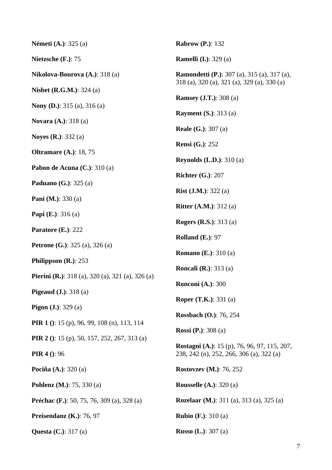| <b>Németi</b> (A.): 325 (a)                                      | <b>Rabrow (P.): 132</b>                                                                           |
|------------------------------------------------------------------|---------------------------------------------------------------------------------------------------|
| Nietzsche (F.): 75                                               | <b>Ramelli (I.):</b> 329 (a)                                                                      |
| Nikolova-Bourova (A.): 318 (a)                                   | <b>Ramondetti (P.):</b> 307 (a), 315 (a), 317 (a),<br>318 (a), 320 (a), 321 (a), 329 (a), 330 (a) |
| <b>Nisbet (R.G.M.)</b> : $324$ (a)                               | <b>Ramsey (J.T.): 308 (a)</b>                                                                     |
| <b>Nony (D.):</b> 315 (a), 316 (a)                               | <b>Rayment</b> $(S.)$ : 313 (a)                                                                   |
| <b>Novara</b> $(A.)$ : 318 $(a)$                                 | <b>Reale (G.):</b> 307 (a)                                                                        |
| <b>Noyes (R.):</b> 332 (a)                                       | <b>Rensi</b> ( <b>G.</b> ): 252                                                                   |
| <b>Oltramare (A.): 18, 75</b>                                    | <b>Reynolds (L.D.):</b> 310 (a)                                                                   |
| Pabon de Acuna (C.): 310 (a)                                     | Richter $(G.)$ : 207                                                                              |
| <b>Paduano</b> ( <b>G.</b> ): $325$ (a)                          | <b>Rist</b> ( <b>J.M.</b> ): 322 (a)                                                              |
| <b>Pani</b> ( <b>M.</b> ): 330 (a)                               | <b>Ritter</b> ( <b>A.M.</b> ): 312 (a)                                                            |
| <b>Papi</b> ( <b>E.</b> ): 316 (a)                               | <b>Rogers (R.S.)</b> : 313 (a)                                                                    |
| Paratore (E.): 222                                               | <b>Rolland</b> (E.): $97$                                                                         |
| <b>Petrone (G.):</b> 325 (a), 326 (a)                            | <b>Romano</b> ( <b>E.</b> ): 310 (a)                                                              |
| Philippson $(R.)$ : 253                                          | <b>Roncali</b> ( <b>R.</b> ): 313 (a)                                                             |
| <b>Pierini</b> ( <b>R.</b> ): 318 (a), 320 (a), 321 (a), 326 (a) | <b>Ronconi</b> (A.): 300                                                                          |
| Pigeaud $(\mathbf{J.})$ : 318 (a)                                | <b>Roper (T.K.):</b> 331 (a)                                                                      |
| <b>Pigon</b> $(J.): 329$ (a)                                     | <b>Rossbach (O.): 76, 254</b>                                                                     |
| <b>PIR 1</b> (): 15 (p), 96, 99, 108 (n), 113, 114               | <b>Rossi</b> (P.): 308 (a)                                                                        |
| <b>PIR 2</b> (): 15 (p), 50, 157, 252, 267, 313 (a)              | <b>Rostagni</b> (A.): 15 (p), 76, 96, 97, 115, 207,                                               |
| <b>PIR 4</b> (): 96                                              | 238, 242 (n), 252, 266, 306 (a), 322 (a)                                                          |
| <b>Pociña</b> (A.): 320 (a)                                      | <b>Rostovzev (M.): 76, 252</b>                                                                    |
| <b>Pohlenz</b> ( <b>M.</b> ): 75, 330 (a)                        | <b>Rousselle</b> (A.): $320$ (a)                                                                  |
| <b>Préchac</b> (F.): 50, 75, 76, 309 (a), 328 (a)                | <b>Rozelaar</b> ( <b>M.</b> ): 311 (a), 313 (a), 325 (a)                                          |
| Preisendanz (K.): 76, 97                                         | <b>Rubio</b> ( <b>F.</b> ): 310 (a)                                                               |
| <b>Questa (C.): 317 (a)</b>                                      | <b>Russo</b> ( <b>L.</b> ): 307 (a)                                                               |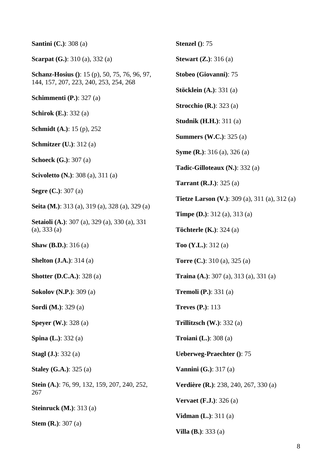| <b>Santini</b> (C.): 308 (a)                                                                   | <b>Stenzel</b> $()$ : 75                                                      |
|------------------------------------------------------------------------------------------------|-------------------------------------------------------------------------------|
| <b>Scarpat (G.)</b> : 310 (a), 332 (a)                                                         | <b>Stewart</b> $(Z.)$ : 316 (a)                                               |
| <b>Schanz-Hosius</b> (): 15 (p), 50, 75, 76, 96, 97,<br>144, 157, 207, 223, 240, 253, 254, 268 | Stobeo (Giovanni): 75                                                         |
| <b>Schimmenti</b> $(P.)$ : 327 (a)                                                             | <b>Stöcklein</b> $(A.)$ : 331 $(a)$                                           |
| <b>Schirok</b> ( <b>E.</b> ): 332 (a)                                                          | <b>Strocchio (R.)</b> : 323 (a)                                               |
| <b>Schmidt</b> (A.): 15 (p), 252                                                               | <b>Studnik (H.H.)</b> : 311 (a)                                               |
| <b>Schmitzer</b> (U.): $312$ (a)                                                               | <b>Summers (W.C.)</b> : 325 (a)                                               |
| <b>Schoeck</b> ( <b>G.</b> ): 307 (a)                                                          | <b>Syme (R.):</b> 316 (a), 326 (a)                                            |
| <b>Scivoletto (N.):</b> 308 (a), 311 (a)                                                       | Tadic-Gilloteaux (N.): 332 (a)                                                |
| <b>Segre (C.):</b> 307 (a)                                                                     | <b>Tarrant</b> ( <b>R.J.</b> ): $325$ (a)                                     |
| <b>Seita (M.)</b> : 313 (a), 319 (a), 328 (a), 329 (a)                                         | <b>Tietze Larson (V.):</b> 309 (a), 311 (a), 312 (a)                          |
| <b>Setaioli (A.)</b> : 307 (a), 329 (a), 330 (a), 331<br>(a), 333(a)                           | <b>Timpe (D.)</b> : $312$ (a), $313$ (a)<br><b>Töchterle</b> $(K.)$ : 324 (a) |
| <b>Shaw</b> ( <b>B.D.</b> ): 316 (a)                                                           | <b>Too (Y.L.)</b> : 312 (a)                                                   |
| <b>Shelton (J.A.)</b> : $314$ (a)                                                              | <b>Torre (C.):</b> 310 (a), 325 (a)                                           |
| <b>Shotter (D.C.A.): 328 (a)</b>                                                               | <b>Traina</b> (A.): 307 (a), 313 (a), 331 (a)                                 |
| <b>Sokolov (N.P.): 309 (a)</b>                                                                 | <b>Tremoli (P.):</b> 331 (a)                                                  |
| <b>Sordi</b> ( <b>M.</b> ): 329 (a)                                                            | <b>Treves (P.): 113</b>                                                       |
| <b>Speyer (W.):</b> 328 (a)                                                                    | Trillitzsch $(W.): 332(a)$                                                    |
| <b>Spina</b> ( <b>L.</b> ): 332 (a)                                                            | <b>Troiani</b> (L.): $308$ (a)                                                |
| <b>Stagl (J.): 332 (a)</b>                                                                     | <b>Ueberweg-Praechter</b> (): 75                                              |
| <b>Staley (G.A.):</b> 325 (a)                                                                  | <b>Vannini</b> $(G.): 317(a)$                                                 |
| <b>Stein (A.)</b> : 76, 99, 132, 159, 207, 240, 252,<br>267                                    | <b>Verdière (R.)</b> : 238, 240, 267, 330 (a)                                 |
| <b>Steinruck</b> (M.): $313$ (a)                                                               | <b>Vervaet</b> ( <b>F.J.</b> ): $326$ (a)                                     |
| <b>Stem (R.):</b> 307 (a)                                                                      | <b>Vidman</b> $(L.)$ : 311 (a)                                                |
|                                                                                                | <b>Villa (B.)</b> : 333 (a)                                                   |